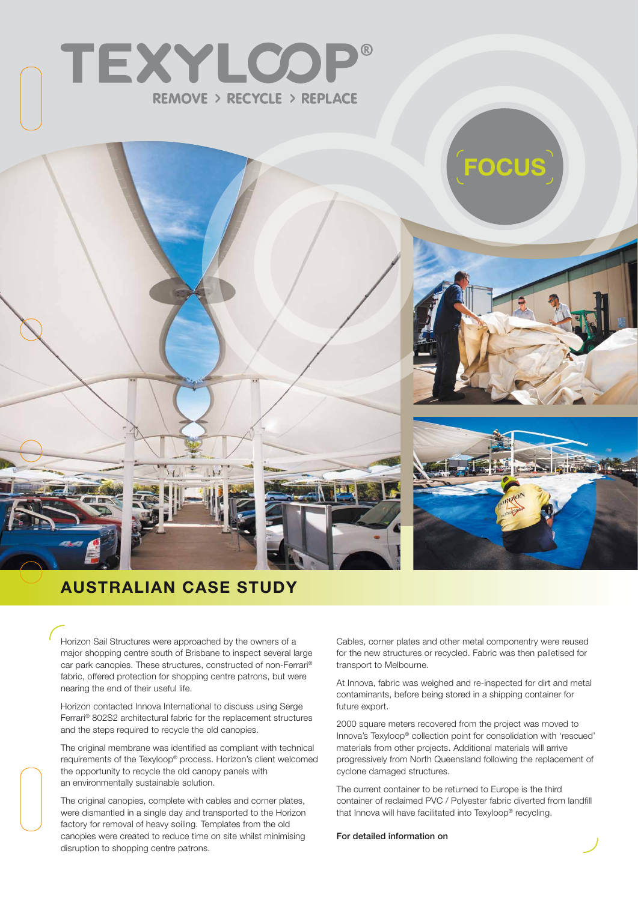



# **Australian Ca se Study**

Horizon Sail Structures were approached by the owners of a major shopping centre south of Brisbane to inspect several large car park canopies. These structures, constructed of non-Ferrari® fabric, offered protection for shopping centre patrons, but were nearing the end of their useful life.

Horizon contacted Innova International to discuss using Serge Ferrari® 802S2 architectural fabric for the replacement structures and the steps required to recycle the old canopies.

The original membrane was identified as compliant with technical requirements of the Texyloop® process. Horizon's client welcomed the opportunity to recycle the old canopy panels with an environmentally sustainable solution.

The original canopies, complete with cables and corner plates, were dismantled in a single day and transported to the Horizon factory for removal of heavy soiling. Templates from the old canopies were created to reduce time on site whilst minimising disruption to shopping centre patrons.

Cables, corner plates and other metal componentry were reused for the new structures or recycled. Fabric was then palletised for transport to Melbourne.

At Innova, fabric was weighed and re-inspected for dirt and metal contaminants, before being stored in a shipping container for future export.

2000 square meters recovered from the project was moved to Innova's Texyloop® collection point for consolidation with 'rescued' materials from other projects. Additional materials will arrive progressively from North Queensland following the replacement of cyclone damaged structures.

The current container to be returned to Europe is the third container of reclaimed PVC / Polyester fabric diverted from landfill that Innova will have facilitated into Texyloop® recycling.

#### For detailed information on